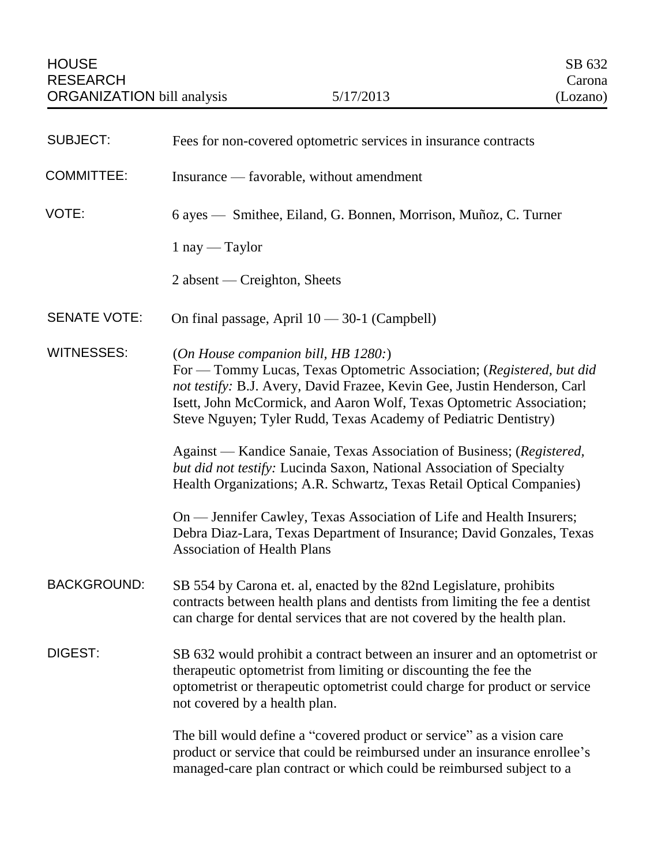| <b>SUBJECT:</b>     | Fees for non-covered optometric services in insurance contracts                                                                                                                                                                                                                                                                     |
|---------------------|-------------------------------------------------------------------------------------------------------------------------------------------------------------------------------------------------------------------------------------------------------------------------------------------------------------------------------------|
| <b>COMMITTEE:</b>   | Insurance — favorable, without amendment                                                                                                                                                                                                                                                                                            |
| VOTE:               | 6 ayes — Smithee, Eiland, G. Bonnen, Morrison, Muñoz, C. Turner                                                                                                                                                                                                                                                                     |
|                     | $1$ nay — Taylor                                                                                                                                                                                                                                                                                                                    |
|                     | $2$ absent — Creighton, Sheets                                                                                                                                                                                                                                                                                                      |
| <b>SENATE VOTE:</b> | On final passage, April $10 - 30 - 1$ (Campbell)                                                                                                                                                                                                                                                                                    |
| <b>WITNESSES:</b>   | (On House companion bill, HB 1280.)<br>For — Tommy Lucas, Texas Optometric Association; (Registered, but did<br>not testify: B.J. Avery, David Frazee, Kevin Gee, Justin Henderson, Carl<br>Isett, John McCormick, and Aaron Wolf, Texas Optometric Association;<br>Steve Nguyen; Tyler Rudd, Texas Academy of Pediatric Dentistry) |
|                     | Against — Kandice Sanaie, Texas Association of Business; (Registered,<br>but did not testify: Lucinda Saxon, National Association of Specialty<br>Health Organizations; A.R. Schwartz, Texas Retail Optical Companies)                                                                                                              |
|                     | On — Jennifer Cawley, Texas Association of Life and Health Insurers;<br>Debra Diaz-Lara, Texas Department of Insurance; David Gonzales, Texas<br><b>Association of Health Plans</b>                                                                                                                                                 |
| <b>BACKGROUND:</b>  | SB 554 by Carona et. al, enacted by the 82nd Legislature, prohibits<br>contracts between health plans and dentists from limiting the fee a dentist<br>can charge for dental services that are not covered by the health plan.                                                                                                       |
| DIGEST:             | SB 632 would prohibit a contract between an insurer and an optometrist or<br>therapeutic optometrist from limiting or discounting the fee the<br>optometrist or therapeutic optometrist could charge for product or service<br>not covered by a health plan.                                                                        |
|                     | The bill would define a "covered product or service" as a vision care<br>product or service that could be reimbursed under an insurance enrollee's<br>managed-care plan contract or which could be reimbursed subject to a                                                                                                          |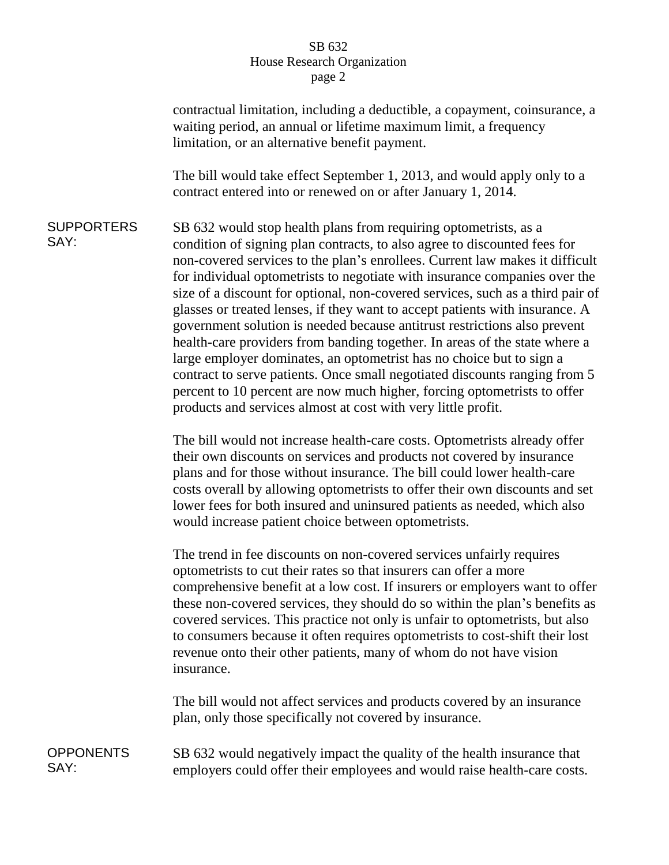## SB 632 House Research Organization page 2

contractual limitation, including a deductible, a copayment, coinsurance, a waiting period, an annual or lifetime maximum limit, a frequency limitation, or an alternative benefit payment.

The bill would take effect September 1, 2013, and would apply only to a contract entered into or renewed on or after January 1, 2014.

**SUPPORTERS** SAY: SB 632 would stop health plans from requiring optometrists, as a condition of signing plan contracts, to also agree to discounted fees for non-covered services to the plan's enrollees. Current law makes it difficult for individual optometrists to negotiate with insurance companies over the size of a discount for optional, non-covered services, such as a third pair of glasses or treated lenses, if they want to accept patients with insurance. A government solution is needed because antitrust restrictions also prevent health-care providers from banding together. In areas of the state where a large employer dominates, an optometrist has no choice but to sign a contract to serve patients. Once small negotiated discounts ranging from 5 percent to 10 percent are now much higher, forcing optometrists to offer products and services almost at cost with very little profit.

> The bill would not increase health-care costs. Optometrists already offer their own discounts on services and products not covered by insurance plans and for those without insurance. The bill could lower health-care costs overall by allowing optometrists to offer their own discounts and set lower fees for both insured and uninsured patients as needed, which also would increase patient choice between optometrists.

> The trend in fee discounts on non-covered services unfairly requires optometrists to cut their rates so that insurers can offer a more comprehensive benefit at a low cost. If insurers or employers want to offer these non-covered services, they should do so within the plan's benefits as covered services. This practice not only is unfair to optometrists, but also to consumers because it often requires optometrists to cost-shift their lost revenue onto their other patients, many of whom do not have vision insurance.

The bill would not affect services and products covered by an insurance plan, only those specifically not covered by insurance.

**OPPONENTS** SAY: SB 632 would negatively impact the quality of the health insurance that employers could offer their employees and would raise health-care costs.